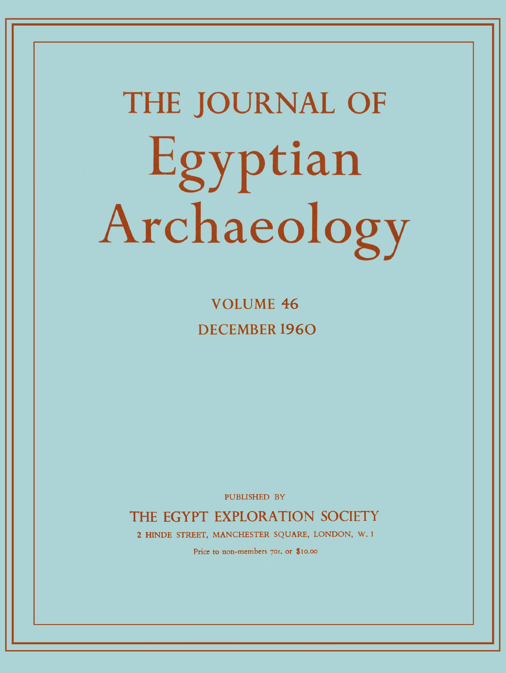# **THE JOURNAL OF**  Egyptian Archaeology

**VOLUME 46 DECEMBER 1960** 

PUBLISHED BY

THE EGYPT EXPLORATION SOCIETY

2 HINDE STREET, MANCHESTER SQUARE, LONDON, W. 1

Price to non-members 70s. or \$10.00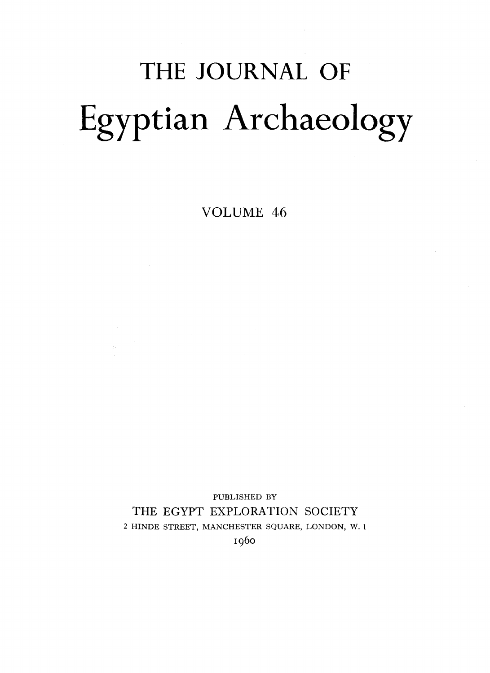# THE JOURNAL OF Egyptian Archaeology

VOLUME 46

PUBLISHED BY THE EGYPT EXPLORATION SOCIETY 2 HINDE STREET, MANCHESTER SQUARE, LONDON, W. 1 1960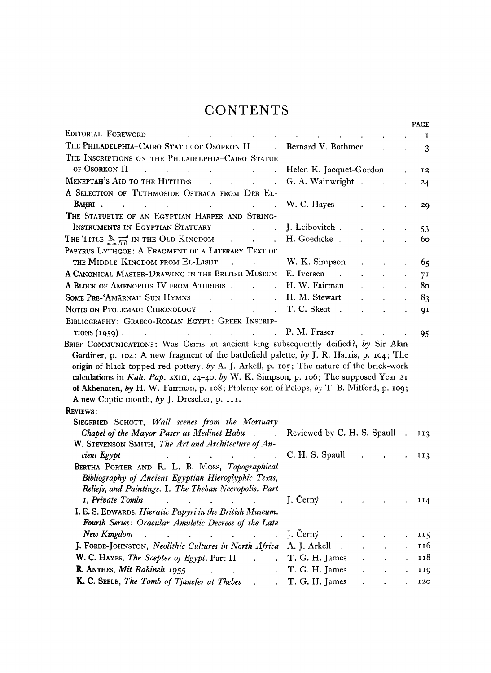# **CONTENTS**

|                                                                                                                                                                                                                                                                                                                                |                                                           |                      |                                                           |                     | <b>PAGE</b>    |
|--------------------------------------------------------------------------------------------------------------------------------------------------------------------------------------------------------------------------------------------------------------------------------------------------------------------------------|-----------------------------------------------------------|----------------------|-----------------------------------------------------------|---------------------|----------------|
| EDITORIAL FOREWORD                                                                                                                                                                                                                                                                                                             |                                                           |                      |                                                           |                     | 1              |
| THE PHILADELPHIA-CAIRO STATUE OF OSORKON II<br>$\mathbf{r}$                                                                                                                                                                                                                                                                    | Bernard V. Bothmer                                        |                      |                                                           |                     | 3              |
| THE INSCRIPTIONS ON THE PHILADELPHIA-CAIRO STATUE                                                                                                                                                                                                                                                                              |                                                           |                      |                                                           |                     |                |
| OF OSORKON II<br>$\sim 10$<br>$\Delta$<br>$\sim 100$<br>$\sim 10$<br><b>Contract</b>                                                                                                                                                                                                                                           | Helen K. Jacquet-Gordon                                   |                      |                                                           |                     | 12             |
| MENEPTAH'S AID TO THE HITTITES<br><b>Contract Contract Street</b><br>$\ddot{\phantom{a}}$                                                                                                                                                                                                                                      | G. A. Wainwright .                                        |                      |                                                           |                     | 24             |
| A SELECTION OF TUTHMOSIDE OSTRACA FROM DER EL-                                                                                                                                                                                                                                                                                 |                                                           |                      |                                                           |                     |                |
| BAHRI.<br>the contract of the contract of the contract of the contract of the contract of<br>$\sim$ $\sim$                                                                                                                                                                                                                     | W. C. Hayes                                               |                      |                                                           |                     | 29             |
| THE STATUETTE OF AN EGYPTIAN HARPER AND STRING-                                                                                                                                                                                                                                                                                |                                                           |                      |                                                           |                     |                |
| INSTRUMENTS IN EGYPTIAN STATUARY<br>and the contract of the                                                                                                                                                                                                                                                                    | J. Leibovitch.                                            |                      |                                                           |                     | 53             |
| $\mathcal{L}(\mathcal{L})$ and $\mathcal{L}(\mathcal{L})$<br>THE TITLE $\mathbb{R}$ $\mathbb{R}$ in the OLD KINGDOM<br>$\mathcal{L}$                                                                                                                                                                                           | H. Goedicke.                                              |                      |                                                           |                     | 60             |
| PAPYRUS LYTHGOE: A FRAGMENT OF A LITERARY TEXT OF                                                                                                                                                                                                                                                                              |                                                           |                      |                                                           |                     |                |
| THE MIDDLE KINGDOM FROM EL-LISHT<br>$\sim$<br>$\mathbf{L}$<br><b>Contract Contract</b>                                                                                                                                                                                                                                         | W. K. Simpson                                             |                      |                                                           | $\hat{\phantom{a}}$ | 65             |
| A CANONICAL MASTER-DRAWING IN THE BRITISH MUSEUM E. Iversen                                                                                                                                                                                                                                                                    | $\sim$ 100                                                |                      | $\mathcal{L}$                                             | $\mathbf{r}$        | 7 <sup>I</sup> |
| A BLOCK OF AMENOPHIS IV FROM ATHRIBIS.                                                                                                                                                                                                                                                                                         | H. W. Fairman                                             |                      |                                                           |                     | 80             |
| SOME PRE-'AMĀRNAH SUN HYMNS<br>$\sim 10$<br><b>Contract Contract</b>                                                                                                                                                                                                                                                           | H. M. Stewart                                             |                      |                                                           |                     | 83             |
| NOTES ON PTOLEMAIC CHRONOLOGY<br>$\sim$<br>$\mathbf{r}$ , $\mathbf{r}$ , $\mathbf{r}$                                                                                                                                                                                                                                          | T. C. Skeat<br>$\sim$                                     | $\ddot{\phantom{a}}$ |                                                           |                     | 91             |
| BIBLIOGRAPHY: GRAECO-ROMAN EGYPT: GREEK INSCRIP-                                                                                                                                                                                                                                                                               |                                                           |                      |                                                           |                     |                |
| TIONS $(1959)$ .<br>$\sim 10^{-10}$<br>$\ddot{\phantom{1}}$                                                                                                                                                                                                                                                                    | P. M. Fraser                                              |                      |                                                           |                     | 95             |
| origin of black-topped red pottery, by A. J. Arkell, p. 105; The nature of the brick-work<br>calculations in Kah. Pap. XXIII, 24-40, by W. K. Simpson, p. 106; The supposed Year 21<br>of Akhenaten, by H. W. Fairman, p. 108; Ptolemy son of Pelops, by T. B. Mitford, p. 109;<br>A new Coptic month, by J. Drescher, p. 111. |                                                           |                      |                                                           |                     |                |
| <b>REVIEWS:</b>                                                                                                                                                                                                                                                                                                                |                                                           |                      |                                                           |                     |                |
| SIEGFRIED SCHOTT, Wall scenes from the Mortuary                                                                                                                                                                                                                                                                                |                                                           |                      |                                                           |                     |                |
| Chapel of the Mayor Paser at Medinet Habu . Reviewed by C. H. S. Spaull                                                                                                                                                                                                                                                        |                                                           |                      |                                                           |                     | II3            |
| W. STEVENSON SMITH, The Art and Architecture of An-                                                                                                                                                                                                                                                                            |                                                           |                      |                                                           |                     |                |
| cient Egypt<br>$\mathcal{L}^{\mathcal{A}}$ . The contract of the contract of the contract of the contract of the contract of the contract of the contract of the contract of the contract of the contract of the contract of the contract of the contrac                                                                       | C. H. S. Spaull                                           |                      |                                                           |                     | 113            |
| BERTHA PORTER AND R. L. B. MOSS, Topographical                                                                                                                                                                                                                                                                                 |                                                           |                      |                                                           |                     |                |
| Bibliography of Ancient Egyptian Hieroglyphic Texts,                                                                                                                                                                                                                                                                           |                                                           |                      |                                                           |                     |                |
| Reliefs, and Paintings. I. The Theban Necropolis. Part                                                                                                                                                                                                                                                                         | J. Černý                                                  |                      |                                                           |                     |                |
| I, Private Tombs<br>I. E. S. EDWARDS, Hieratic Papyri in the British Museum.                                                                                                                                                                                                                                                   | $\bullet$ - $\bullet$ - $\bullet$ - $\bullet$ - $\bullet$ |                      | $\bullet$ , and $\bullet$ , and $\bullet$ , and $\bullet$ |                     | 114            |
| Fourth Series: Oracular Amuletic Decrees of the Late                                                                                                                                                                                                                                                                           |                                                           |                      |                                                           |                     |                |
| New Kingdom<br>$\mathbf{r}$<br>$\mathcal{L}^{\mathcal{A}}(\mathbf{A})$ . The contribution of the contribution of $\mathcal{L}^{\mathcal{A}}(\mathbf{A})$                                                                                                                                                                       | J. Černý                                                  |                      |                                                           |                     | 115            |
| J. FORDE-JOHNSTON, Neolithic Cultures in North Africa                                                                                                                                                                                                                                                                          | A. J. Arkell                                              |                      |                                                           |                     | 116            |
| W. C. HAYES, The Scepter of Egypt. Part II                                                                                                                                                                                                                                                                                     | T. G. H. James                                            |                      |                                                           |                     | 118            |
| R. ANTHES, Mit Rahineh 1955.<br>$\sim 100$                                                                                                                                                                                                                                                                                     | T. G. H. James                                            |                      |                                                           |                     | 119            |
| K. C. SEELE, The Tomb of Tjanefer at Thebes                                                                                                                                                                                                                                                                                    | T. G. H. James                                            |                      |                                                           |                     | 120            |
|                                                                                                                                                                                                                                                                                                                                |                                                           |                      |                                                           |                     |                |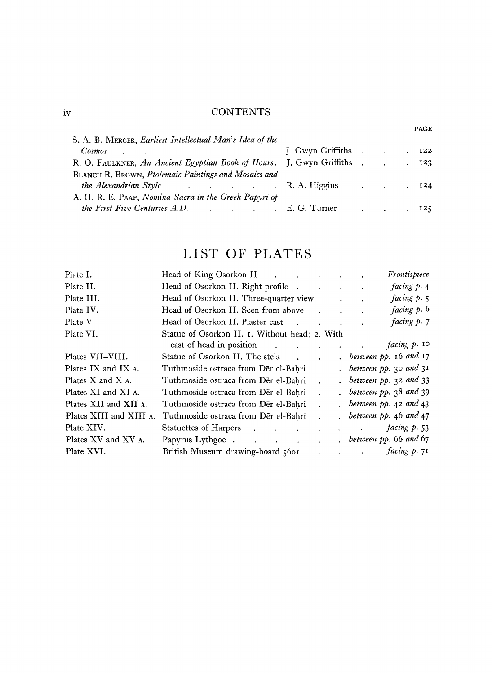### **CONTENTS**

|                                                                                                                                                                                                                                               |  |                      | PAGE |
|-----------------------------------------------------------------------------------------------------------------------------------------------------------------------------------------------------------------------------------------------|--|----------------------|------|
| S. A. B. MERCER, Earliest Intellectual Man's Idea of the                                                                                                                                                                                      |  |                      |      |
| <b>Example 20</b> is a contract of the set of the set of the set of the set of the set of the set of the set of the set of the set of the set of the set of the set of the set of the set of the set of the set of the set of the s<br>Cosmos |  |                      | 122  |
| R. O. FAULKNER, An Ancient Egyptian Book of Hours. J. Gwyn Griffiths.                                                                                                                                                                         |  | $\ddot{\phantom{a}}$ | 123  |
| BLANCH R. BROWN, Ptolemaic Paintings and Mosaics and                                                                                                                                                                                          |  |                      |      |
| <i>the Alexandrian Style</i> R. A. Higgins                                                                                                                                                                                                    |  |                      | 124  |
| A. H. R. E. PAAP, Nomina Sacra in the Greek Papyri of                                                                                                                                                                                         |  |                      |      |
| the First Five Centuries A.D. (a) Contract to the First Five Centuries A.D.                                                                                                                                                                   |  |                      |      |

# LIST OF PLATES

| Plate I.                 | Head of King Osorkon II                                             |                           | Frontispiece                                       |
|--------------------------|---------------------------------------------------------------------|---------------------------|----------------------------------------------------|
| Plate II.                | Head of Osorkon II. Right profile.                                  |                           | facing p. 4<br>and the contract of the contract of |
| Plate III.               | Head of Osorkon II. Three-quarter view                              |                           | facing $p \cdot 5$                                 |
| Plate IV.                | Head of Osorkon II. Seen from above                                 |                           | facing p. 6                                        |
| Plate V                  | Head of Osorkon II. Plaster cast<br><b>Contract Contract Street</b> |                           | facing p. 7                                        |
| Plate VI.                | Statue of Osorkon II. I. Without head; 2. With                      |                           |                                                    |
|                          | cast of head in position                                            |                           | facing p. 10                                       |
| Plates VII-VIII.         | Statue of Osorkon II. The stela.                                    |                           | $.$ between $pp.$ 16 and 17                        |
| Plates IX and IX A.      | Tuthmoside ostraca from Der el-Bahri                                |                           | between $pp.$ 30 and $3I$                          |
| Plates $X$ and $X$ $A$ . | Tuthmoside ostraca from Der el-Bahri                                |                           | $.$ between pp. 32 and 33                          |
| Plates XI and XI A.      | Tuthmoside ostraca from Der el-Bahri                                |                           | between $pp.$ 38 and 39                            |
| Plates XII and XII A.    | Tuthmoside ostraca from Der el-Bahri                                |                           | between $pp.$ 42 and 43                            |
| Plates XIII and XIII A.  | Tuthmoside ostraca from Der el-Bahri                                |                           | between $pp.46$ and $47$                           |
| Plate XIV.               | Statuettes of Harpers                                               |                           | $\frac{1}{2}$ facing $p.53$                        |
| Plates XV and XV A.      |                                                                     | $\mathbf{L}^{\text{max}}$ | between $pp.66$ and $67$                           |
| Plate XVI.               | British Museum drawing-board 5601                                   |                           | facing p. 71                                       |

 $iv$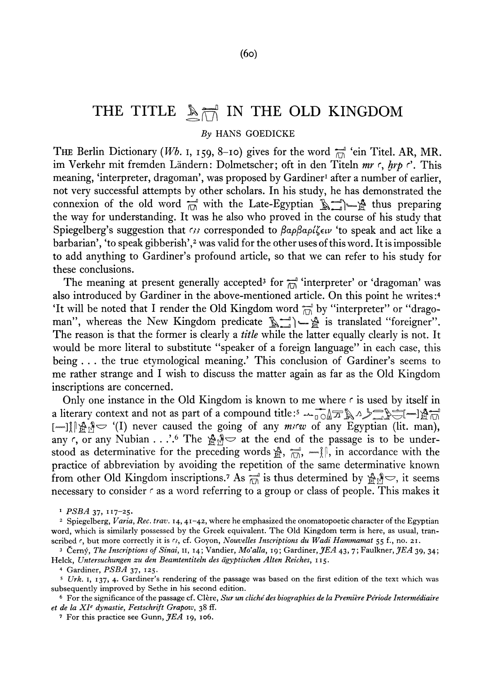## THE TITLE  $\mathbb{A}_{\overline{M}}$  IN THE OLD KINGDOM

#### *By* HANS GOEDICKE

THE Berlin Dictionary *(Wb.* I, 159, 8-10) gives for the word *^* 'ein Titel. AR, MR. im Verkehr mit fremden Ländern: Dolmetscher; oft in den Titeln mr c, hrp c'. This meaning, 'interpreter, dragoman', was proposed by Gardiner<sup>1</sup> after a number of earlier, not very successful attempts by other scholars. In his study, he has demonstrated the connexion of the old word  $\vec{r}$  with the Late-Egyptian  $\vec{R}$ ;  $\vec{r}$  thus preparing the way for understanding. It was he also who proved in the course of his study that Spiegelberg's suggestion that *(3)* corresponded to βαρβαρίζειν 'to speak and act like a barbarian', 'to speak gibberish',<sup>2</sup> was valid for the other uses of this word. It is impossible to add anything to Gardiner's profound article, so that we can refer to his study for these conclusions.

The meaning at present generally accepted<sup>3</sup> for  $\overline{m}^{\text{d}}$  'interpreter' or 'dragoman' was also introduced by Gardiner in the above-mentioned article. On this point he writes :<sup>4</sup> It will be noted that I render the Old Kingdom word  $\overline{m}$  by "interpreter" or "dragoman", whereas the New Kingdom predicate  $\sum_{i=1}^{\infty}$  is translated "foreigner". The reason is that the former is clearly a *title* while the latter equally clearly is not. It would be more literal to substitute "speaker of a foreign language" in each case, this being , . . the true etymological meaning.' This conclusion of Gardiner's seems to me rather strange and I wish to discuss the matter again as far as the Old Kingdom inscriptions are concerned.

Only one instance in the Old Kingdom is known to me where  $\epsilon$  is used by itself in a literary context and not as part of a compound title:5  $\sim$  00  $\pi$  )  $\sim$   $\sim$   $\sim$   $\sim$   $\sim$   $\sim$   $\sim$ [-]]  $\lim_{m \to \infty}$ ]  $\lim_{m \to \infty}$  (I) never caused the going of any *migu* of any Egyptian (lit. man), any  $\zeta$ , or any Nubian . . .'.<sup>6</sup> The  $\mathbb{R}^N$   $\Rightarrow$  at the end of the passage is to be understood as determinative for the preceding words  $\mathcal{L}, \overline{m}$ ,  $\overline{m}$ ,  $\overline{m}$ , in accordance with the practice of abbreviation by avoiding the repetition of the same determinative known from other Old Kingdom inscriptions.<sup>7</sup> As  $\frac{1}{\sqrt{10}}$  is thus determined by  $\frac{15}{20}$ , it seems necessary to consider  $\epsilon$  as a word referring to a group or class of people. This makes it

<sup>1</sup>  *PSBA37,* 117-25.

<sup>&</sup>lt;sup>2</sup> Spiegelberg, *Varia*, *Rec. trav.* 14, 41-42, where he emphasized the onomatopoetic character of the Egyptian word, which is similarly possessed by the Greek equivalent. The Old Kingdom term is here, as usual, transcribed  $\epsilon$ , but more correctly it is  $\epsilon$ , cf. Goyon, *Nouvelles Inscriptions du Wadi Hammamat* 55 f., no. 21.

<sup>3</sup> Cerny, *The Inscriptions of Sinai,* 11, 14; Vandier, *Mo'alla,* 19; Gardiner, *JEA* 43, 7; Faulkner, *JEA* 39, 34; Helck, *Untersuchungen zu den Beamtentiteln des dgyptischen Alten Reiches,* 115.

<sup>\*</sup> Gardiner, *PSBA* 37, 125.

<sup>&</sup>lt;sup>5</sup> Urk. 1, 137, 4. Gardiner's rendering of the passage was based on the first edition of the text which was subsequently improved by Sethe in his second edition.

<sup>&</sup>lt;sup>6</sup> For the significance of the passage cf. Clère, *Sur un cliché des biographies de la Première Période Intermédiaire et de la XI<sup>e</sup> dynastie, Festschrift Grapow,* 38 ff.

<sup>7</sup> For this practice see Gunn, *JEA* 19, 106.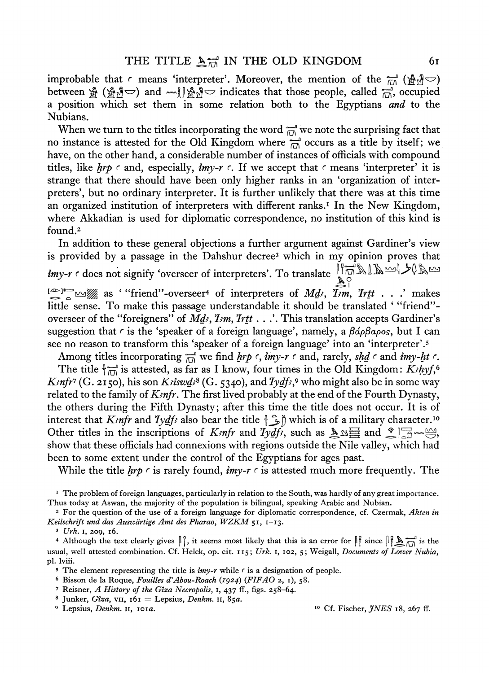improbable that r means 'interpreter'. Moreover, the mention of the  $\widehat{\overline{m}}$  ( $\mathbb{A}^{\mathcal{A}}$ ) between  $\mathbb{A}$  ( $\mathbb{A}^{\mathcal{S}}$ ) and  $\mathbb{A}$   $\mathbb{A}^{\mathcal{S}}$  indicates that those people, called  $\mathbb{A}$  occupied a position which set them in some relation both to the Egyptians *and* to the Nubians.

When we turn to the titles incorporating the word  $\overline{m}$  we note the surprising fact that no instance is attested for the Old Kingdom where  $\overline{m}$  occurs as a title by itself; we have, on the other hand, a considerable number of instances of officials with compound titles, like  $h r \rho \ncosh \rho$  r and, especially,  $i m v - r \ncosh \rho$ . If we accept that  $\ncosh \rho$  means 'interpreter' it is strange that there should have been only higher ranks in an 'organization of interpreters', but no ordinary interpreter. It is further unlikely that there was at this time an organized institution of interpreters with different ranks.<sup>1</sup> In the New Kingdom, where Akkadian is used for diplomatic correspondence, no institution of this kind is found.<sup>2</sup>

In addition to these general objections a further argument against Gardiner's view is provided by a passage in the Dahshur decree<sup>3</sup> which in my opinion proves that *imy-r* r does not signify 'overseer of interpreters'. To translate  $\lim_{\delta \to 0} \lambda \Lambda \sim 0$ 

 $\epsilon^{\infty}$  as ' "friend"-overseer<sup>4</sup> of interpreters of *Md<sub>i</sub>*, *Irm*, *Irtt* . . .' makes little sense. To make this passage understandable it should be translated ' "friend" overseer of the "foreigners" of *Md<sub>3</sub>*, *I<sub>z</sub>m*, *Ir<sub>tt</sub>* . . .'. This translation accepts Gardiner's suggestion that c is the 'speaker of a foreign language', namely, a  $\beta d\rho\beta a\rho o s$ , but I can see no reason to transform this 'speaker of a foreign language' into an 'interpreter'.<sup>5</sup>

Among titles incorporating  $\frac{1}{n}$  we find *hrp*  $\cdot$ , *imy-r*  $\cdot$  and, rarely, *shd*  $\cdot$  and *imy-ht*  $\cdot$ . The title  $\int_{\overline{M}}^{\overline{n}}$  is attested, as far as I know, four times in the Old Kingdom: *Kihyf*,<sup>6</sup> *Kmfr*<sup>7</sup> (G. 2150), his son *Kriswdr*<sup>8</sup> (G. 5340), and *Iydfr*,<sup>9</sup> who might also be in some way related to the family of  $K<sub>2</sub>$ *nfr*. The first lived probably at the end of the Fourth Dynasty, the others during the Fifth Dynasty; after this time the title does not occur. It is of interest that *Kinfr* and *Iydfi* also bear the title  $\{\widehat{\mathcal{L}}\}\$  which is of a military character.<sup>10</sup> Other titles in the inscriptions of *Kmfr* and *Iydfi*, such as  $\Delta \Delta \equiv$  and  $\Im \Box \equiv$ show that these officials had connexions with regions outside the Nile valley, which had been to some extent under the control of the Egyptians for ages past.

While the title *hrp r* is rarely found, *imy-r c* is attested much more frequently. The

8 Junker, *Giza,* vn, 161 = Lepsius, *Denkm.* 11, 85a.  $10^{10}$ 

Cf. Fischer, *JNES* 18, 267 ff.

I The problem of foreign languages, particularly in relation to the South, was hardly of any great importance. Thus today at Aswan, the majority of the population is bilingual, speaking Arabic and Nubian.

<sup>2</sup> For the question of the use of a foreign language for diplomatic correspondence, cf. Czermak, *Akien in Keilschrift und das Auszvdrtige Amt des Pharao, WZKM* 51, 1-13.

<sup>3</sup>  *Urk.* 1, 209, 16.

<sup>4</sup> Although the text clearly gives  $\|\hat{y}\|$ , it seems most likely that this is an error for  $\|\hat{y}\|$  since  $\|\hat{y}\|_{\mathcal{M}}^{\mathcal{M}}$  is the usual, well attested combination. Cf. Helck, op. cit. 115; *Urk.* 1, 102, 5; Weigall, *Documents of Lower Nubia,*  pi. lviii.

<sup>&</sup>lt;sup>5</sup> The element representing the title is *imy-r* while  $\epsilon$  is a designation of people.

<sup>6</sup> Bisson de la Roque, *Fouilles d'Abou-Roach (1924) (FIFAO* 2, 1), 58.

<sup>7</sup> Reisner, *A History of the Giza Necropolis,* 1, 437 ff., figs. 258-64.

<sup>^</sup> Lepsius, *Denkm.* 11, 101a.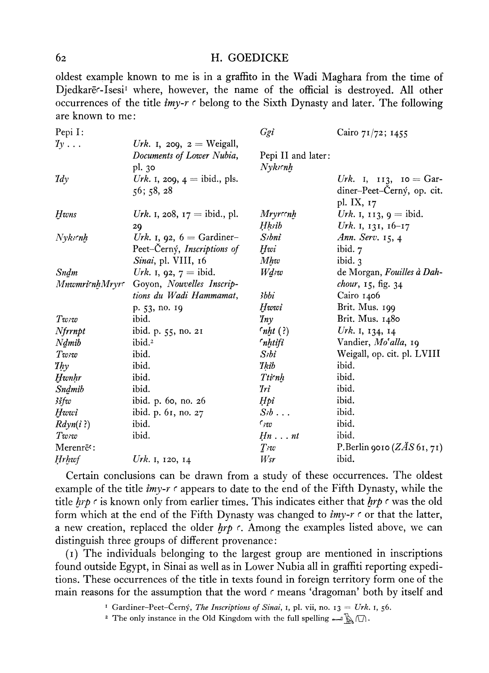#### 62 H. GOEDICKE

oldest example known to me is in a graffito in the Wadi Maghara from the time of Djedkare<sup>-</sup>Isesi<sup>1</sup> where, however, the name of the official is destroyed. All other occurrences of the title *imy-r r* belong to the Sixth Dynasty and later. The following are known to me :

| Pepi I:                |                                       | Ggi                   | Cairo 71/72; 1455            |
|------------------------|---------------------------------------|-----------------------|------------------------------|
| $Iy \ldots$            | Urk. I, 209, $z =$ Weigall,           |                       |                              |
|                        | Documents of Lower Nubia,             | Pepi II and later:    |                              |
|                        | pl. 30                                | $N$ yks $\epsilon$ nh |                              |
| $\mathit{Id}_y$        | <i>Urk.</i> 1, 209, $4 =$ ibid., pls. |                       | Urk. I, $113$ , $10 = Gar$ - |
|                        | 56; 58, 28                            |                       | diner-Peet-Cerný, op. cit.   |
|                        |                                       |                       | pl. IX, 17                   |
| <b>Hwns</b>            | Urk. 1, 208, $17 =$ ibid., pl.        | <i>Mryrcenh</i>       | Urk. 1, 113, $9 =$ ibid.     |
|                        | 29                                    | Hksib                 | Urk. I, 131, $16-17$         |
| Nyksenh                | Urk. 1, 92, $6 =$ Gardiner-           | S <sub>i</sub> bni    | Ann. Serv. 15, 4             |
|                        | Peet-Cerný, Inscriptions of           | Hwi                   | ibid. 7                      |
|                        | Sinai, pl. VIII, 16                   | M h w                 | ibid. $3$                    |
| Sndm                   | Urk. 1, 92, $7 =$ ibid.               | Wdsw                  | de Morgan, Fouilles à Dah-   |
| MnwmricnhMryrc         | Goyon, Nouvelles Inscrip-             |                       | <i>chour</i> , 15, fig. 34   |
|                        | tions du Wadi Hammamat,               | 3bbi                  | Cairo 1406                   |
|                        | p. 53, no. 19                         | Hwwi                  | Brit. Mus. 199               |
| Twzw                   | ibid.                                 | $\eta_{ny}$           | Brit. Mus. 1480              |
| Nfrrnpt                | ibid. p. 55, no. 21                   | $rnht$ (?)            | Urk. 1, 134, 14              |
| Ndmib                  | ibid. <sup>2</sup>                    | <i>Inhtifi</i>        | Vandier, Mo'alla, 19         |
| Twzw                   | ibid.                                 | $Si$ bi               | Weigall, op. cit. pl. LVIII  |
| $I$ <i>hy</i>          | ibid.                                 | 'Ikib                 | ibid.                        |
| Hwnhr                  | ibid.                                 | Tticnh                | ibid.                        |
| Sndmib                 | ibid.                                 | <i>Iri</i>            | ibid.                        |
| 3šfw                   | ibid. p. 60, no. 26                   | Hpi                   | ibid.                        |
| Hwwi                   | ibid. p. 61, no. 27                   | $S/b$                 | ibid.                        |
| Rdyn(i?)               | ibid.                                 | $\epsilon_{3}v$       | ibid.                        |
| Twzw                   | ibid.                                 | $Hn \ldots nt$        | ibid.                        |
| Merenrē <sup>c</sup> : |                                       | $T$ <sub>sw</sub>     | P.Berlin 9010 $(ZAS 61, 71)$ |
| Hrhwf                  | Urk. I, 120, 14                       | Wsr                   | ibid.                        |
|                        |                                       |                       |                              |

Certain conclusions can be drawn from a study of these occurrences. The oldest example of the title *imy-r r* appears to date to the end of the Fifth Dynasty, while the title *hrp r* is known only from earlier times. This indicates either that *hrp r* was the old form which at the end of the Fifth Dynasty was changed to *imy-r r* or that the latter, a new creation, replaced the older *hrp* r. Among the examples listed above, we can distinguish three groups of different provenance:

(1) The individuals belonging to the largest group are mentioned in inscriptions found outside Egypt, in Sinai as well as in Lower Nubia all in graffiti reporting expeditions. These occurrences of the title in texts found in foreign territory form one of the main reasons for the assumption that the word  $\epsilon$  means 'dragoman' both by itself and

<sup>1</sup> Gardiner-Peet-Černý, *The Inscriptions of Sinai*, 1, pl. vii, no. 13 = Urk. 1, 56.

<sup>2</sup> The only instance in the Old Kingdom with the full spelling  $\longrightarrow \mathbb{R} \cap$ .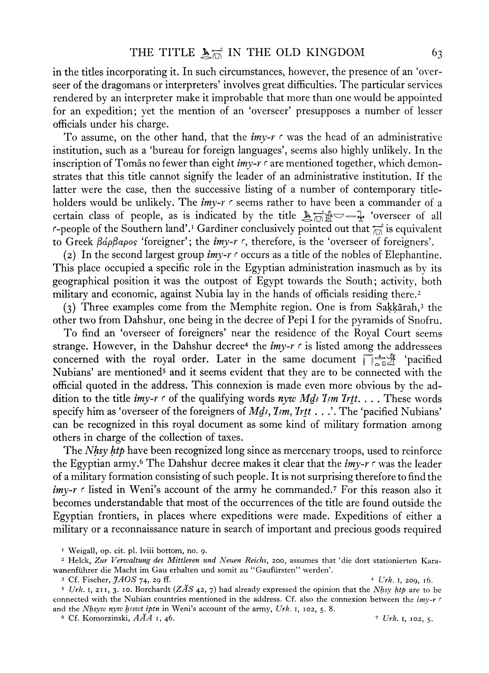in the titles incorporating it. In such circumstances, however, the presence of an 'overseer of the dragomans or interpreters' involves great difficulties. The particular services rendered by an interpreter make it improbable that more than one would be appointed for an expedition; yet the mention of an 'overseer' presupposes a number of lesser officials under his charge.

To assume, on the other hand, that the *imy-r* r was the head of an administrative institution, such as a 'bureau for foreign languages', seems also highly unlikely. In the inscription of Tomas no fewer than eight *imy-r*  $\epsilon$  are mentioned together, which demonstrates that this title cannot signify the leader of an administrative institution. If the latter were the case, then the successive listing of a number of contemporary titleholders would be unlikely. The *imy-r r* seems rather to have been a commander of a certain class of people, as is indicated by the title  $\mathbb{A}^{\text{max}}_{\text{max}}$  'overseer of all r-people of the Southern land'.<sup>1</sup> Gardiner conclusively pointed out that  $\frac{1}{n\Delta}$  is equivalent to Greek  $\beta$ *ap* $\beta$ apos 'foreigner'; the *imy-r*  $\epsilon$ , therefore, is the 'overseer of foreigners'.

(2) In the second largest group *imy-r r* occurs as a title of the nobles of Elephantine. This place occupied a specific role in the Egyptian administration inasmuch as by its geographical position it was the outpost of Egypt towards the South; activity, both military and economic, against Nubia lay in the hands of officials residing there.<sup>2</sup>

(3) Three examples come from the Memphite region. One is from Sakkarah,<sup>3</sup> the other two from Dahshur, one being in the decree of Pepi I for the pyramids of Snofru.

To find an 'overseer of foreigners' near the residence of the Royal Court seems strange. However, in the Dahshur decree<sup>4</sup> the *imy-r*  $\epsilon$  is listed among the addressees concerned with the royal order. Later in the same document  $\int_{0}^{\infty}$  'pacified Nubians' are mentioned<sup>5</sup> and it seems evident that they are to be connected with the official quoted in the address. This connexion is made even more obvious by the addition to the title  $imy-r \in \text{of the qualitying words } n y w \text{ Md}$ , I<sub>2</sub>m Irtt.... These words specify him as 'overseer of the foreigners of *Mds*, *Ism*, *Irtt* . . .'. The 'pacified Nubians' can be recognized in this royal document as some kind of military formation among others in charge of the collection of taxes.

The *Nhsy htp* have been recognized long since as mercenary troops, used to reinforce the Egyptian army.<sup>6</sup> The Dahshur decree makes it clear that the *imy-r r* was the leader of a military formation consisting of such people. It is not surprising therefore to find the imy-r c listed in Weni's account of the army he commanded.<sup>7</sup> For this reason also it becomes understandable that most of the occurrences of the title are found outside the Egyptian frontiers, in places where expeditions were made. Expeditions of either a military or a reconnaissance nature in search of important and precious goods required

6 Cf. Komorzinski, *AAA* 1, 46. ? *Urk.* 1, 102, 5.

<sup>1</sup> Weigall, op. cit. pi. lviii bottom, no. 9.

<sup>2</sup> Helck, *Zur Verwaltung des Mittleren und Neuen Reichs,* 200, assumes that 'die dort stationierten Karawanenfuhrer die Macht im Gau erhalten und somit zu "Gaufursten" werden'.

<sup>3</sup> Cf. Fischer, *JAOS* 74, 29 ff. 4 *Urk.* 1, 209, 16.

<sup>5</sup>  *Urk.* 1, 211, 3. 10. Borchardt *(ZAS* 42, 7) had already expressed the opinion that the *Nhsy htp* are to be connected with the Nubian countries mentioned in the address. Cf. also the connexion between the *imy-r r*  and the *Nhsyw nyw hiswt iptn* in Weni's account of the army, Urk. 1, 102, 5. 8.